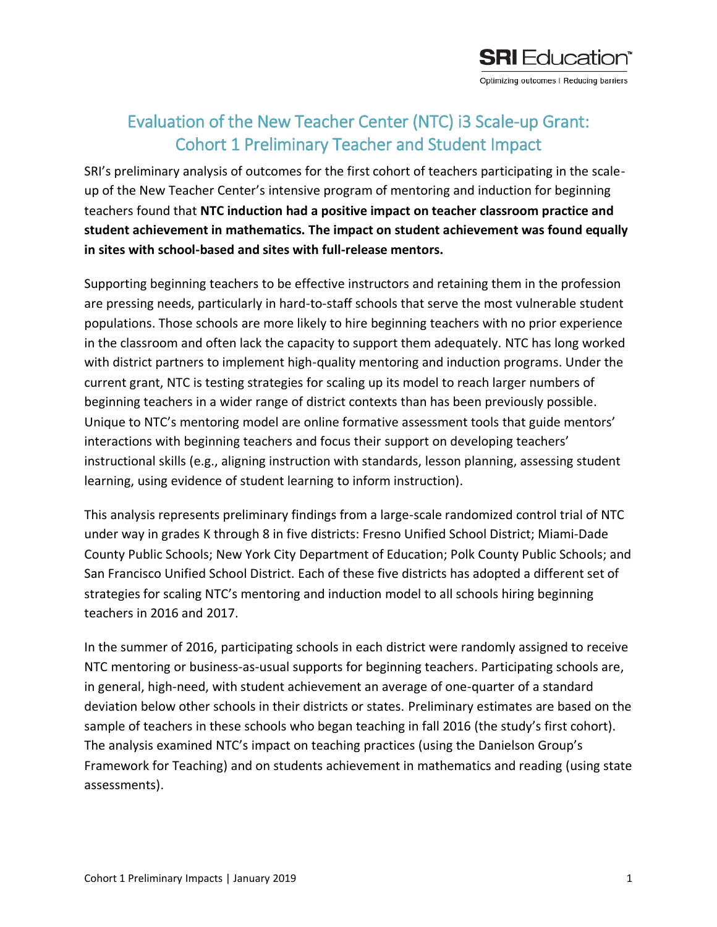

## Evaluation of the New Teacher Center (NTC) i3 Scale-up Grant: Cohort 1 Preliminary Teacher and Student Impact

SRI's preliminary analysis of outcomes for the first cohort of teachers participating in the scaleup of the New Teacher Center's intensive program of mentoring and induction for beginning teachers found that **NTC induction had a positive impact on teacher classroom practice and student achievement in mathematics. The impact on student achievement was found equally in sites with school-based and sites with full-release mentors.**

Supporting beginning teachers to be effective instructors and retaining them in the profession are pressing needs, particularly in hard-to-staff schools that serve the most vulnerable student populations. Those schools are more likely to hire beginning teachers with no prior experience in the classroom and often lack the capacity to support them adequately. NTC has long worked with district partners to implement high-quality mentoring and induction programs. Under the current grant, NTC is testing strategies for scaling up its model to reach larger numbers of beginning teachers in a wider range of district contexts than has been previously possible. Unique to NTC's mentoring model are online formative assessment tools that guide mentors' interactions with beginning teachers and focus their support on developing teachers' instructional skills (e.g., aligning instruction with standards, lesson planning, assessing student learning, using evidence of student learning to inform instruction).

This analysis represents preliminary findings from a large-scale randomized control trial of NTC under way in grades K through 8 in five districts: Fresno Unified School District; Miami-Dade County Public Schools; New York City Department of Education; Polk County Public Schools; and San Francisco Unified School District. Each of these five districts has adopted a different set of strategies for scaling NTC's mentoring and induction model to all schools hiring beginning teachers in 2016 and 2017.

In the summer of 2016, participating schools in each district were randomly assigned to receive NTC mentoring or business-as-usual supports for beginning teachers. Participating schools are, in general, high-need, with student achievement an average of one-quarter of a standard deviation below other schools in their districts or states. Preliminary estimates are based on the sample of teachers in these schools who began teaching in fall 2016 (the study's first cohort). The analysis examined NTC's impact on teaching practices (using the Danielson Group's Framework for Teaching) and on students achievement in mathematics and reading (using state assessments).